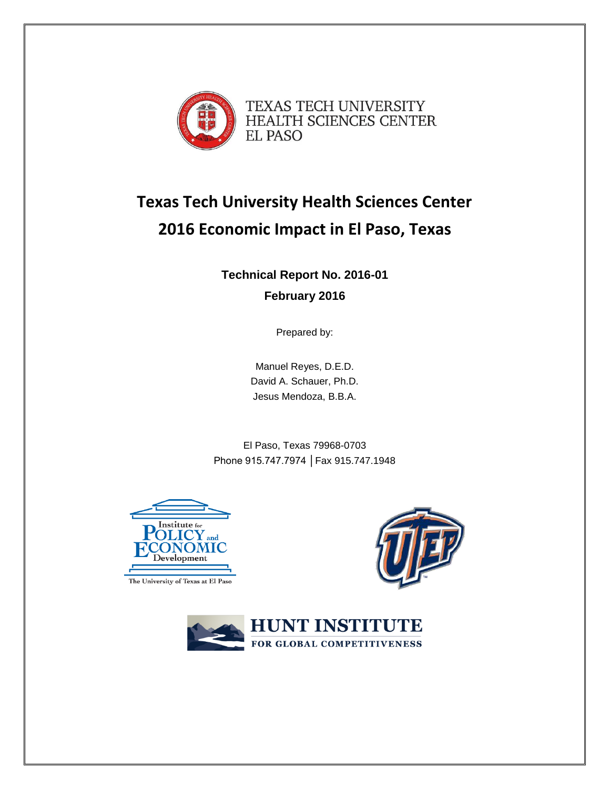

# **Texas Tech University Health Sciences Center 2016 Economic Impact in El Paso, Texas**

**Technical Report No. 2016-01 February 2016**

Prepared by:

Manuel Reyes, D.E.D. David A. Schauer, Ph.D. Jesus Mendoza, B.B.A.

El Paso, Texas 79968-0703 Phone 915.747.7974 │Fax 915.747.1948



The University of Texas at El Paso



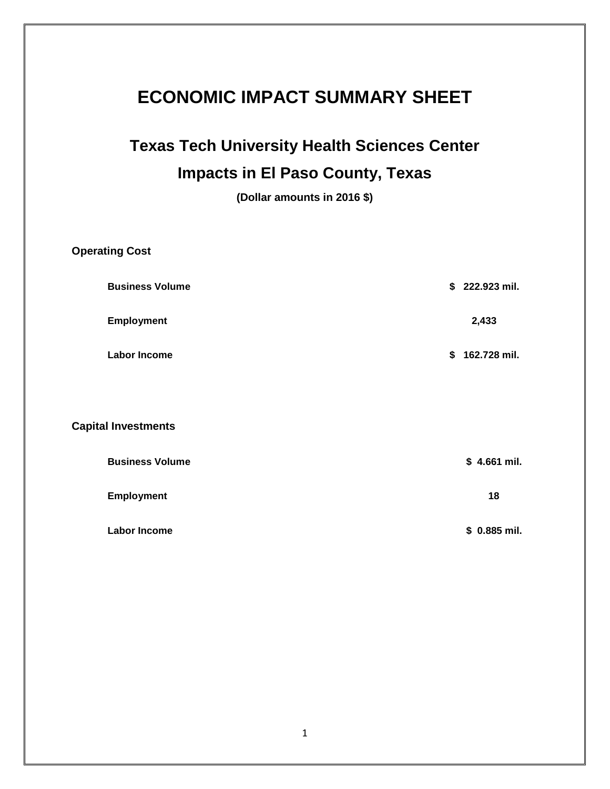# **ECONOMIC IMPACT SUMMARY SHEET**

# **Texas Tech University Health Sciences Center Impacts in El Paso County, Texas**

**(Dollar amounts in 2016 \$)**

| <b>Operating Cost</b>      |                |
|----------------------------|----------------|
| <b>Business Volume</b>     | \$222.923 mil. |
| <b>Employment</b>          | 2,433          |
| <b>Labor Income</b>        | \$162.728 mil. |
|                            |                |
| <b>Capital Investments</b> |                |
| <b>Business Volume</b>     | $$4.661$ mil.  |
| <b>Employment</b>          | 18             |
| <b>Labor Income</b>        | \$ 0.885 mil.  |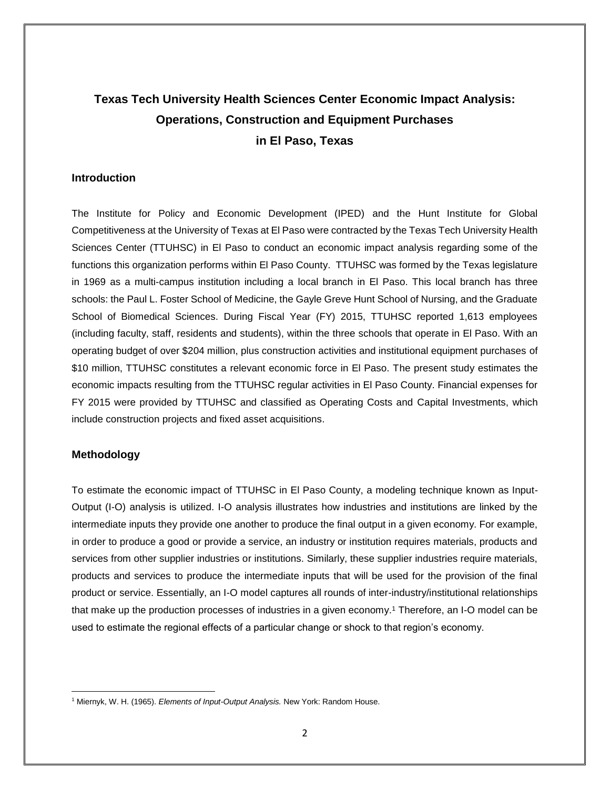# **Texas Tech University Health Sciences Center Economic Impact Analysis: Operations, Construction and Equipment Purchases in El Paso, Texas**

## **Introduction**

The Institute for Policy and Economic Development (IPED) and the Hunt Institute for Global Competitiveness at the University of Texas at El Paso were contracted by the Texas Tech University Health Sciences Center (TTUHSC) in El Paso to conduct an economic impact analysis regarding some of the functions this organization performs within El Paso County. TTUHSC was formed by the Texas legislature in 1969 as a multi-campus institution including a local branch in El Paso. This local branch has three schools: the Paul L. Foster School of Medicine, the Gayle Greve Hunt School of Nursing, and the Graduate School of Biomedical Sciences. During Fiscal Year (FY) 2015, TTUHSC reported 1,613 employees (including faculty, staff, residents and students), within the three schools that operate in El Paso. With an operating budget of over \$204 million, plus construction activities and institutional equipment purchases of \$10 million, TTUHSC constitutes a relevant economic force in El Paso. The present study estimates the economic impacts resulting from the TTUHSC regular activities in El Paso County. Financial expenses for FY 2015 were provided by TTUHSC and classified as Operating Costs and Capital Investments, which include construction projects and fixed asset acquisitions.

## **Methodology**

 $\overline{\phantom{a}}$ 

To estimate the economic impact of TTUHSC in El Paso County, a modeling technique known as Input-Output (I-O) analysis is utilized. I-O analysis illustrates how industries and institutions are linked by the intermediate inputs they provide one another to produce the final output in a given economy. For example, in order to produce a good or provide a service, an industry or institution requires materials, products and services from other supplier industries or institutions. Similarly, these supplier industries require materials, products and services to produce the intermediate inputs that will be used for the provision of the final product or service. Essentially, an I-O model captures all rounds of inter-industry/institutional relationships that make up the production processes of industries in a given economy. <sup>1</sup> Therefore, an I-O model can be used to estimate the regional effects of a particular change or shock to that region's economy.

<sup>1</sup> Miernyk, W. H. (1965). *Elements of Input-Output Analysis.* New York: Random House.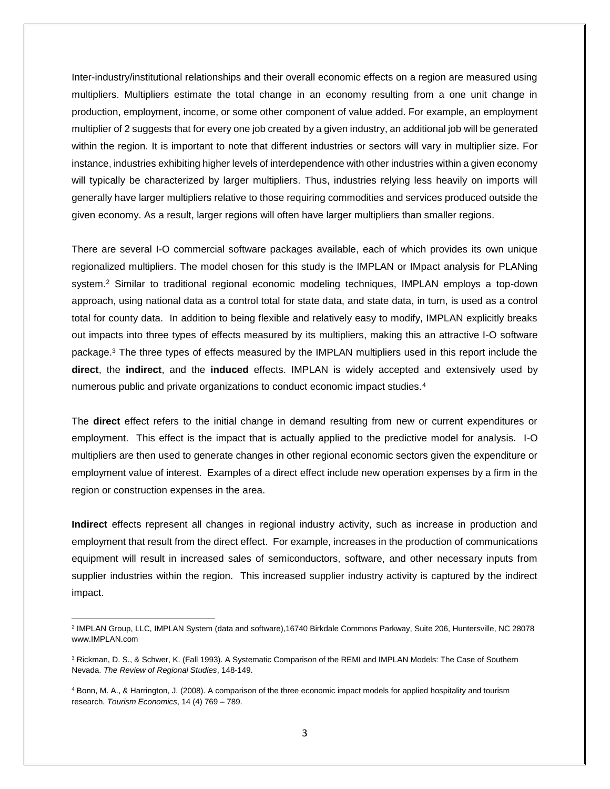Inter-industry/institutional relationships and their overall economic effects on a region are measured using multipliers. Multipliers estimate the total change in an economy resulting from a one unit change in production, employment, income, or some other component of value added. For example, an employment multiplier of 2 suggests that for every one job created by a given industry, an additional job will be generated within the region. It is important to note that different industries or sectors will vary in multiplier size. For instance, industries exhibiting higher levels of interdependence with other industries within a given economy will typically be characterized by larger multipliers. Thus, industries relying less heavily on imports will generally have larger multipliers relative to those requiring commodities and services produced outside the given economy. As a result, larger regions will often have larger multipliers than smaller regions.

There are several I-O commercial software packages available, each of which provides its own unique regionalized multipliers. The model chosen for this study is the IMPLAN or IMpact analysis for PLANing system.<sup>2</sup> Similar to traditional regional economic modeling techniques, IMPLAN employs a top-down approach, using national data as a control total for state data, and state data, in turn, is used as a control total for county data. In addition to being flexible and relatively easy to modify, IMPLAN explicitly breaks out impacts into three types of effects measured by its multipliers, making this an attractive I-O software package.<sup>3</sup> The three types of effects measured by the IMPLAN multipliers used in this report include the **direct**, the **indirect**, and the **induced** effects. IMPLAN is widely accepted and extensively used by numerous public and private organizations to conduct economic impact studies.<sup>4</sup>

The **direct** effect refers to the initial change in demand resulting from new or current expenditures or employment. This effect is the impact that is actually applied to the predictive model for analysis. I-O multipliers are then used to generate changes in other regional economic sectors given the expenditure or employment value of interest. Examples of a direct effect include new operation expenses by a firm in the region or construction expenses in the area.

**Indirect** effects represent all changes in regional industry activity, such as increase in production and employment that result from the direct effect. For example, increases in the production of communications equipment will result in increased sales of semiconductors, software, and other necessary inputs from supplier industries within the region. This increased supplier industry activity is captured by the indirect impact.

 $\overline{a}$ 2 IMPLAN Group, LLC, IMPLAN System (data and software),16740 Birkdale Commons Parkway, Suite 206, Huntersville, NC 28078 www.IMPLAN.com

<sup>&</sup>lt;sup>3</sup> Rickman, D. S., & Schwer, K. (Fall 1993). A Systematic Comparison of the REMI and IMPLAN Models: The Case of Southern Nevada. *The Review of Regional Studies*, 148-149.

<sup>4</sup> Bonn, M. A., & Harrington, J. (2008). A comparison of the three economic impact models for applied hospitality and tourism research. *Tourism Economics*, 14 (4) 769 – 789.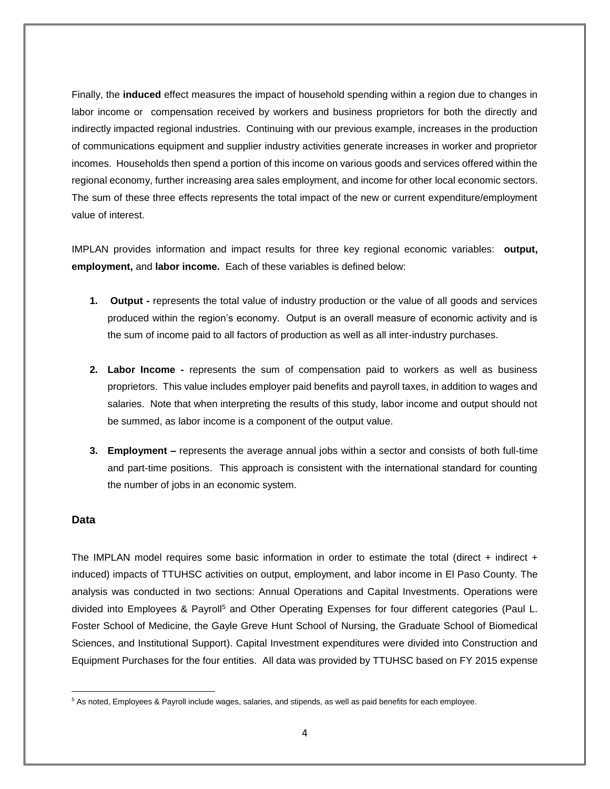Finally, the **induced** effect measures the impact of household spending within a region due to changes in labor income or compensation received by workers and business proprietors for both the directly and indirectly impacted regional industries. Continuing with our previous example, increases in the production of communications equipment and supplier industry activities generate increases in worker and proprietor incomes. Households then spend a portion of this income on various goods and services offered within the regional economy, further increasing area sales employment, and income for other local economic sectors. The sum of these three effects represents the total impact of the new or current expenditure/employment value of interest.

IMPLAN provides information and impact results for three key regional economic variables: **output, employment,** and **labor income.** Each of these variables is defined below:

- **1. Output -** represents the total value of industry production or the value of all goods and services produced within the region's economy. Output is an overall measure of economic activity and is the sum of income paid to all factors of production as well as all inter-industry purchases.
- **2. Labor Income -** represents the sum of compensation paid to workers as well as business proprietors. This value includes employer paid benefits and payroll taxes, in addition to wages and salaries. Note that when interpreting the results of this study, labor income and output should not be summed, as labor income is a component of the output value.
- **3. Employment –** represents the average annual jobs within a sector and consists of both full-time and part-time positions. This approach is consistent with the international standard for counting the number of jobs in an economic system.

# **Data**

The IMPLAN model requires some basic information in order to estimate the total (direct + indirect + induced) impacts of TTUHSC activities on output, employment, and labor income in El Paso County. The analysis was conducted in two sections: Annual Operations and Capital Investments. Operations were divided into Employees & Payrol<sup>15</sup> and Other Operating Expenses for four different categories (Paul L. Foster School of Medicine, the Gayle Greve Hunt School of Nursing, the Graduate School of Biomedical Sciences, and Institutional Support). Capital Investment expenditures were divided into Construction and Equipment Purchases for the four entities. All data was provided by TTUHSC based on FY 2015 expense

 $\overline{\phantom{a}}$ <sup>5</sup> As noted, Employees & Payroll include wages, salaries, and stipends, as well as paid benefits for each employee.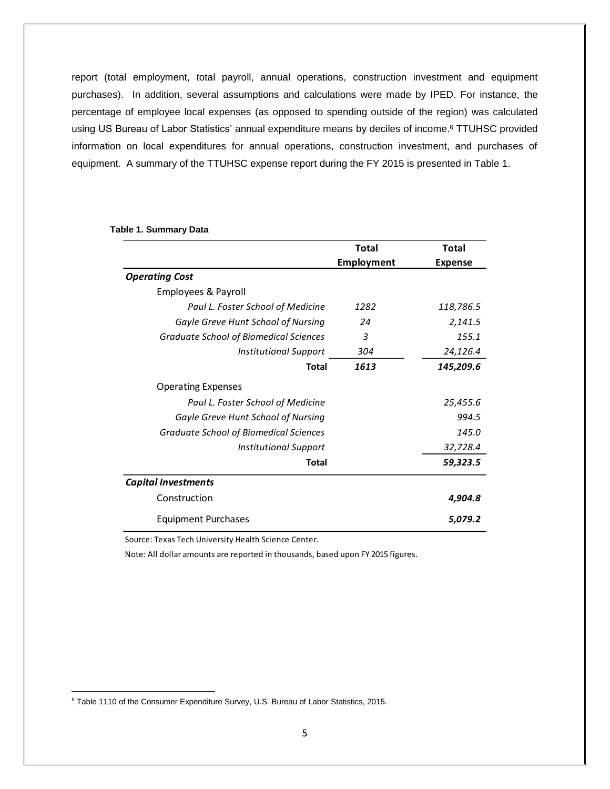report (total employment, total payroll, annual operations, construction investment and equipment purchases). In addition, several assumptions and calculations were made by IPED. For instance, the percentage of employee local expenses (as opposed to spending outside of the region) was calculated using US Bureau of Labor Statistics' annual expenditure means by deciles of income. <sup>6</sup> TTUHSC provided information on local expenditures for annual operations, construction investment, and purchases of equipment. A summary of the TTUHSC expense report during the FY 2015 is presented in Table 1.

|                                               | Total             | Total          |
|-----------------------------------------------|-------------------|----------------|
|                                               | <b>Employment</b> | <b>Expense</b> |
| <b>Operating Cost</b>                         |                   |                |
| Employees & Payroll                           |                   |                |
| Paul L. Foster School of Medicine             | 1282              | 118,786.5      |
| Gayle Greve Hunt School of Nursing            | 24                | 2,141.5        |
| <b>Graduate School of Biomedical Sciences</b> | 3                 | 155.1          |
| <b>Institutional Support</b>                  | 304               | 24,126.4       |
| <b>Total</b>                                  | 1613              | 145,209.6      |
| <b>Operating Expenses</b>                     |                   |                |
| Paul L. Foster School of Medicine             |                   | 25,455.6       |
| Gayle Greve Hunt School of Nursing            | 994.5             |                |
| <b>Graduate School of Biomedical Sciences</b> | 145.0             |                |
| <b>Institutional Support</b>                  |                   | 32,728.4       |
| <b>Total</b>                                  |                   | 59,323.5       |
| <b>Capital Investments</b>                    |                   |                |
| Construction                                  |                   | 4,904.8        |
| <b>Equipment Purchases</b>                    |                   | 5.079.2        |

#### **Table 1. Summary Data**

Source: Texas Tech University Health Science Center.

Note: All dollar amounts are reported in thousands, based upon FY 2015 figures.

 $\overline{\phantom{a}}$ 

<sup>&</sup>lt;sup>6</sup> Table 1110 of the Consumer Expenditure Survey, U.S. Bureau of Labor Statistics, 2015.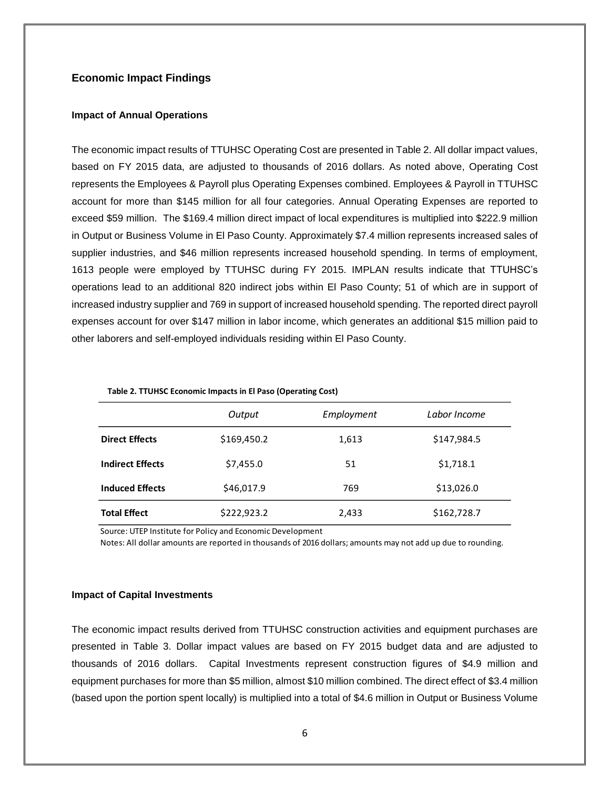# **Economic Impact Findings**

#### **Impact of Annual Operations**

The economic impact results of TTUHSC Operating Cost are presented in Table 2. All dollar impact values, based on FY 2015 data, are adjusted to thousands of 2016 dollars. As noted above, Operating Cost represents the Employees & Payroll plus Operating Expenses combined. Employees & Payroll in TTUHSC account for more than \$145 million for all four categories. Annual Operating Expenses are reported to exceed \$59 million. The \$169.4 million direct impact of local expenditures is multiplied into \$222.9 million in Output or Business Volume in El Paso County. Approximately \$7.4 million represents increased sales of supplier industries, and \$46 million represents increased household spending. In terms of employment, 1613 people were employed by TTUHSC during FY 2015. IMPLAN results indicate that TTUHSC's operations lead to an additional 820 indirect jobs within El Paso County; 51 of which are in support of increased industry supplier and 769 in support of increased household spending. The reported direct payroll expenses account for over \$147 million in labor income, which generates an additional \$15 million paid to other laborers and self-employed individuals residing within El Paso County.

| Table 2. TTUHSC Economic impacts in El Paso (Operating Cost) |             |            |              |  |  |
|--------------------------------------------------------------|-------------|------------|--------------|--|--|
|                                                              | Output      | Employment | Labor Income |  |  |
| <b>Direct Effects</b>                                        | \$169,450.2 | 1,613      | \$147,984.5  |  |  |
| <b>Indirect Effects</b>                                      | \$7,455.0   | 51         | \$1,718.1    |  |  |
| <b>Induced Effects</b>                                       | \$46,017.9  | 769        | \$13,026.0   |  |  |
| <b>Total Effect</b>                                          | \$222,923.2 | 2,433      | \$162,728.7  |  |  |

**Table 2. TTUHSC Economic Impacts in El Paso (Operating Cost)**

Source: UTEP Institute for Policy and Economic Development

Notes: All dollar amounts are reported in thousands of 2016 dollars; amounts may not add up due to rounding.

#### **Impact of Capital Investments**

The economic impact results derived from TTUHSC construction activities and equipment purchases are presented in Table 3. Dollar impact values are based on FY 2015 budget data and are adjusted to thousands of 2016 dollars. Capital Investments represent construction figures of \$4.9 million and equipment purchases for more than \$5 million, almost \$10 million combined. The direct effect of \$3.4 million (based upon the portion spent locally) is multiplied into a total of \$4.6 million in Output or Business Volume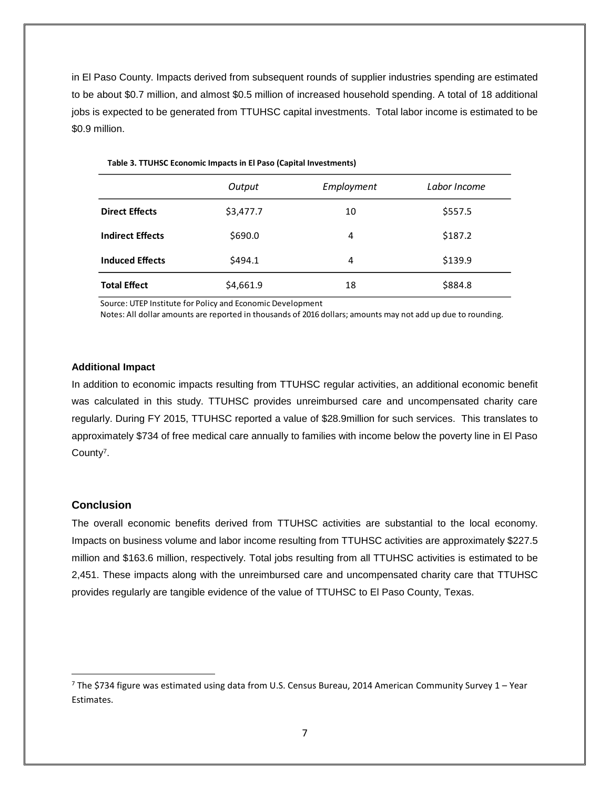in El Paso County. Impacts derived from subsequent rounds of supplier industries spending are estimated to be about \$0.7 million, and almost \$0.5 million of increased household spending. A total of 18 additional jobs is expected to be generated from TTUHSC capital investments. Total labor income is estimated to be \$0.9 million.

|                         | Output    | Employment | Labor Income |
|-------------------------|-----------|------------|--------------|
| <b>Direct Effects</b>   | \$3,477.7 | 10         | \$557.5      |
| <b>Indirect Effects</b> | \$690.0   | 4          | \$187.2      |
| <b>Induced Effects</b>  | \$494.1   | 4          | \$139.9      |
| <b>Total Effect</b>     | \$4,661.9 | 18         | \$884.8      |

**Table 3. TTUHSC Economic Impacts in El Paso (Capital Investments)**

Source: UTEP Institute for Policy and Economic Development

Notes: All dollar amounts are reported in thousands of 2016 dollars; amounts may not add up due to rounding.

#### **Additional Impact**

In addition to economic impacts resulting from TTUHSC regular activities, an additional economic benefit was calculated in this study. TTUHSC provides unreimbursed care and uncompensated charity care regularly. During FY 2015, TTUHSC reported a value of \$28.9million for such services. This translates to approximately \$734 of free medical care annually to families with income below the poverty line in El Paso County<sup>7</sup>.

### **Conclusion**

 $\overline{\phantom{a}}$ 

The overall economic benefits derived from TTUHSC activities are substantial to the local economy. Impacts on business volume and labor income resulting from TTUHSC activities are approximately \$227.5 million and \$163.6 million, respectively. Total jobs resulting from all TTUHSC activities is estimated to be 2,451. These impacts along with the unreimbursed care and uncompensated charity care that TTUHSC provides regularly are tangible evidence of the value of TTUHSC to El Paso County, Texas.

 $7$  The \$734 figure was estimated using data from U.S. Census Bureau, 2014 American Community Survey 1 – Year Estimates.